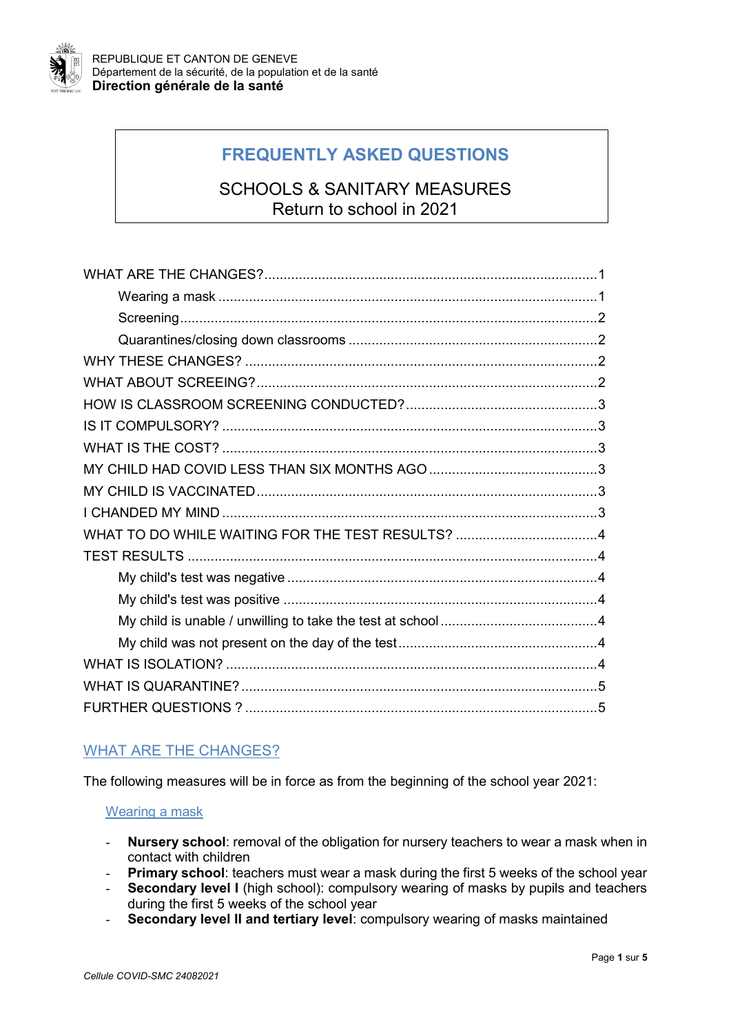

# **FREQUENTLY ASKED QUESTIONS**

## SCHOOLS & SANITARY MEASURES Return to school in 2021

## <span id="page-0-0"></span>WHAT ARE THE CHANGES?

The following measures will be in force as from the beginning of the school year 2021:

## Wearing a mask

- **Nursery school**: removal of the obligation for nursery teachers to wear a mask when in contact with children
- **Primary school:** teachers must wear a mask during the first 5 weeks of the school year
- **Secondary level I** (high school): compulsory wearing of masks by pupils and teachers during the first 5 weeks of the school year
- Secondary level II and tertiary level: compulsory wearing of masks maintained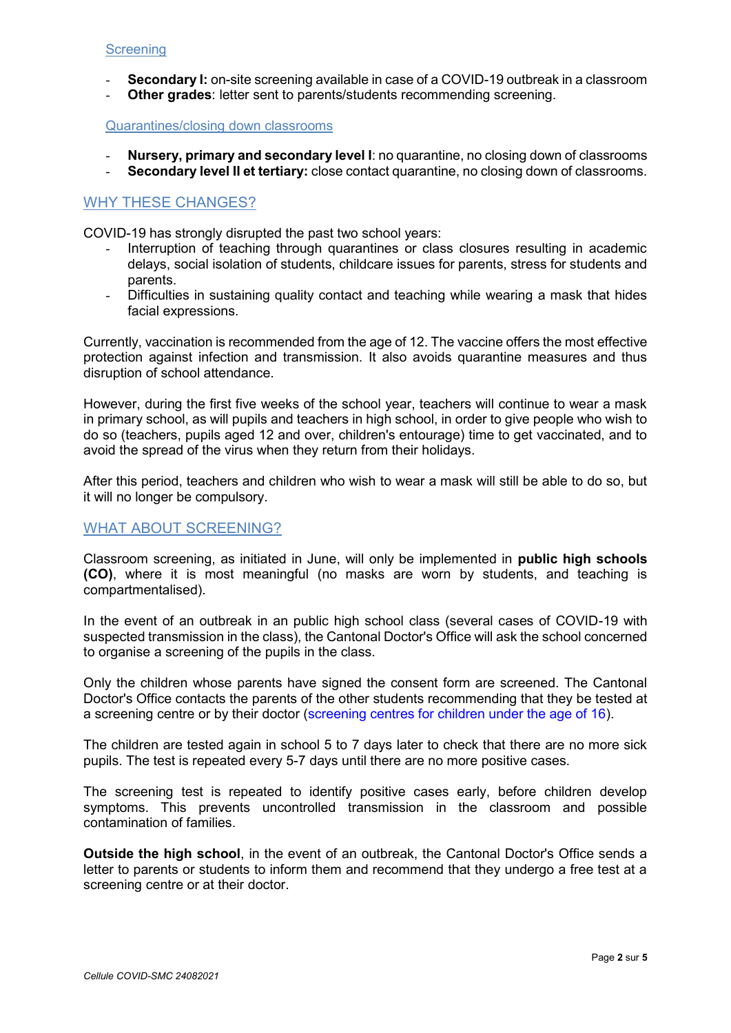#### <span id="page-1-0"></span>**Screening**

- **Secondary I:** on-site screening available in case of a COVID-19 outbreak in a classroom
- **Other grades:** letter sent to parents/students recommending screening.

#### <span id="page-1-1"></span>Quarantines/closing down classrooms

- **Nursery, primary and secondary level I**: no quarantine, no closing down of classrooms - **Secondary level II et tertiary:** close contact quarantine, no closing down of classrooms.

#### <span id="page-1-2"></span>WHY THESE CHANGES?

COVID-19 has strongly disrupted the past two school years:

- Interruption of teaching through quarantines or class closures resulting in academic delays, social isolation of students, childcare issues for parents, stress for students and parents.
- Difficulties in sustaining quality contact and teaching while wearing a mask that hides facial expressions.

Currently, vaccination is recommended from the age of 12. The vaccine offers the most effective protection against infection and transmission. It also avoids quarantine measures and thus disruption of school attendance.

However, during the first five weeks of the school year, teachers will continue to wear a mask in primary school, as will pupils and teachers in high school, in order to give people who wish to do so (teachers, pupils aged 12 and over, children's entourage) time to get vaccinated, and to avoid the spread of the virus when they return from their holidays.

After this period, teachers and children who wish to wear a mask will still be able to do so, but it will no longer be compulsory.

## <span id="page-1-3"></span>WHAT ABOUT SCREENING?

Classroom screening, as initiated in June, will only be implemented in **public high schools (CO)**, where it is most meaningful (no masks are worn by students, and teaching is compartmentalised).

In the event of an outbreak in an public high school class (several cases of COVID-19 with suspected transmission in the class), the Cantonal Doctor's Office will ask the school concerned to organise a screening of the pupils in the class.

Only the children whose parents have signed the consent form are screened. The Cantonal Doctor's Office contacts the parents of the other students recommending that they be tested at a screening centre or by their doctor [\(screening centres for children under the age of 16\)](https://www.ge.ch/covid-19-se-faire-tester/faire-test-covid-19#edg-1620289624569).

The children are tested again in school 5 to 7 days later to check that there are no more sick pupils. The test is repeated every 5-7 days until there are no more positive cases.

The screening test is repeated to identify positive cases early, before children develop symptoms. This prevents uncontrolled transmission in the classroom and possible contamination of families.

**Outside the high school**, in the event of an outbreak, the Cantonal Doctor's Office sends a letter to parents or students to inform them and recommend that they undergo a free test at a screening centre or at their doctor.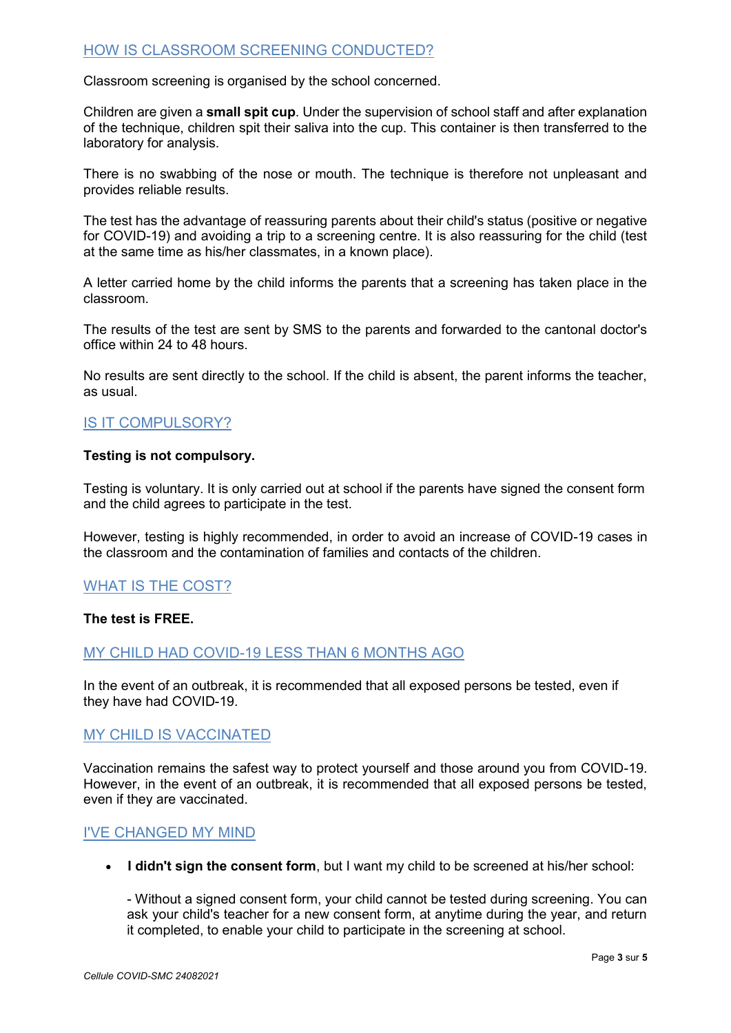## <span id="page-2-0"></span>HOW IS CLASSROOM SCREENING CONDUCTED?

Classroom screening is organised by the school concerned.

Children are given a **small spit cup**. Under the supervision of school staff and after explanation of the technique, children spit their saliva into the cup. This container is then transferred to the laboratory for analysis.

There is no swabbing of the nose or mouth. The technique is therefore not unpleasant and provides reliable results.

The test has the advantage of reassuring parents about their child's status (positive or negative for COVID-19) and avoiding a trip to a screening centre. It is also reassuring for the child (test at the same time as his/her classmates, in a known place).

A letter carried home by the child informs the parents that a screening has taken place in the classroom.

The results of the test are sent by SMS to the parents and forwarded to the cantonal doctor's office within 24 to 48 hours.

No results are sent directly to the school. If the child is absent, the parent informs the teacher, as usual.

## <span id="page-2-1"></span>IS IT COMPULSORY?

#### **Testing is not compulsory.**

Testing is voluntary. It is only carried out at school if the parents have signed the consent form and the child agrees to participate in the test.

However, testing is highly recommended, in order to avoid an increase of COVID-19 cases in the classroom and the contamination of families and contacts of the children.

## <span id="page-2-2"></span>WHAT IS THE COST?

#### <span id="page-2-3"></span>**The test is FREE.**

## MY CHILD HAD COVID-19 LESS THAN 6 MONTHS AGO

In the event of an outbreak, it is recommended that all exposed persons be tested, even if they have had COVID-19.

## MY CHILD IS VACCINATED

<span id="page-2-4"></span>Vaccination remains the safest way to protect yourself and those around you from COVID-19. However, in the event of an outbreak, it is recommended that all exposed persons be tested, even if they are vaccinated.

#### I'VE CHANGED MY MIND

**I didn't sign the consent form**, but I want my child to be screened at his/her school:

- Without a signed consent form, your child cannot be tested during screening. You can ask your child's teacher for a new consent form, at anytime during the year, and return it completed, to enable your child to participate in the screening at school.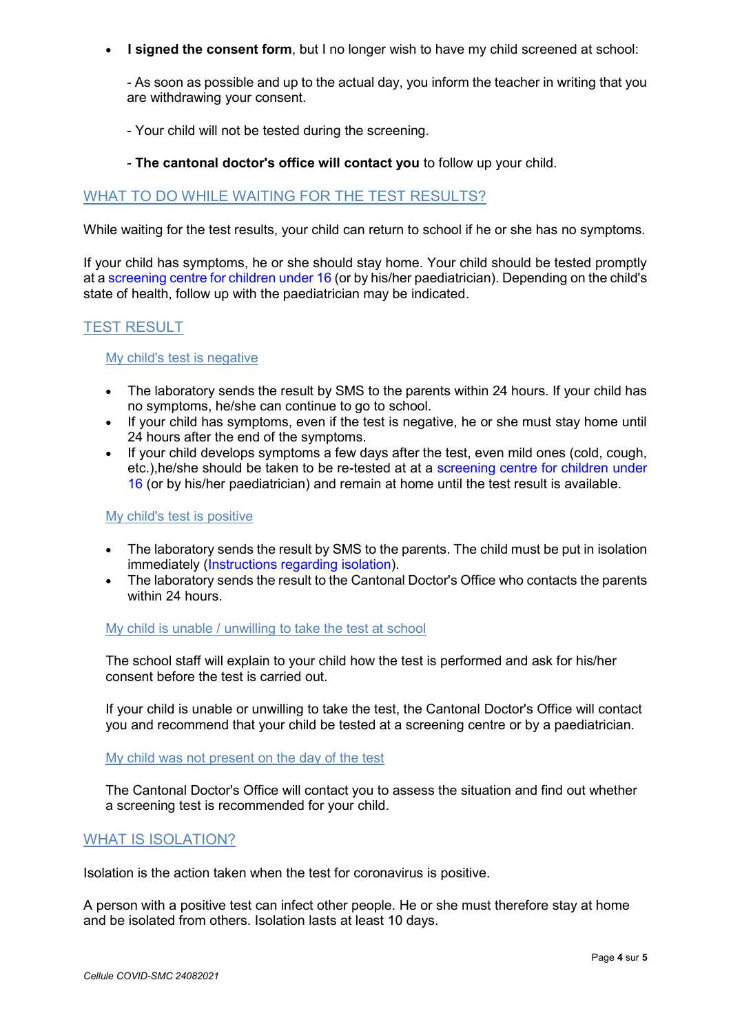**I signed the consent form**, but I no longer wish to have my child screened at school:

- As soon as possible and up to the actual day, you inform the teacher in writing that you are withdrawing your consent.

- Your child will not be tested during the screening.

#### - **The cantonal doctor's office will contact you** to follow up your child.

## <span id="page-3-0"></span>WHAT TO DO WHILE WAITING FOR THE TEST RESULTS?

While waiting for the test results, your child can return to school if he or she has no symptoms.

If your child has symptoms, he or she should stay home. Your child should be tested promptly at a screening centre [for children under 16](https://www.ge.ch/covid-19-se-faire-tester/faire-test-covid-19#edg-1620289624569) (or by his/her paediatrician). Depending on the child's state of health, follow up with the paediatrician may be indicated.

## <span id="page-3-1"></span>TEST RESULT

#### <span id="page-3-2"></span>My child's test is negative

- The laboratory sends the result by SMS to the parents within 24 hours. If your child has no symptoms, he/she can continue to go to school.
- If your child has symptoms, even if the test is negative, he or she must stay home until 24 hours after the end of the symptoms.
- $\bullet$  If your child develops symptoms a few days after the test, even mild ones (cold, cough, etc.),he/she should be taken to be re-tested at at a screening centre [for children under](https://www.ge.ch/covid-19-se-faire-tester/faire-test-covid-19#edg-1620289624569)  [16](https://www.ge.ch/covid-19-se-faire-tester/faire-test-covid-19#edg-1620289624569) (or by his/her paediatrician) and remain at home until the test result is available.

#### <span id="page-3-3"></span>My child's test is positive

- The laboratory sends the result by SMS to the parents. The child must be put in isolation immediately [\(Instructions regarding isolation\)](https://www.bag.admin.ch/dam/bag/fr/dokumente/mt/k-und-i/aktuelle-ausbrueche-pandemien/2019-nCoV/merkblatt-selbstisolation-covid-19.pdf.download.pdf/covid-19_consignes_isolement.pdf).
- The laboratory sends the result to the Cantonal Doctor's Office who contacts the parents within 24 hours.

### My child is unable / unwilling to take the test at school

The school staff will explain to your child how the test is performed and ask for his/her consent before the test is carried out.

If your child is unable or unwilling to take the test, the Cantonal Doctor's Office will contact you and recommend that your child be tested at a screening centre or by a paediatrician.

My child was not present on the day of the test

The Cantonal Doctor's Office will contact you to assess the situation and find out whether a screening test is recommended for your child.

#### <span id="page-3-4"></span>WHAT IS ISOLATION?

Isolation is the action taken when the test for coronavirus is positive.

A person with a positive test can infect other people. He or she must therefore stay at home and be isolated from others. Isolation lasts at least 10 days.